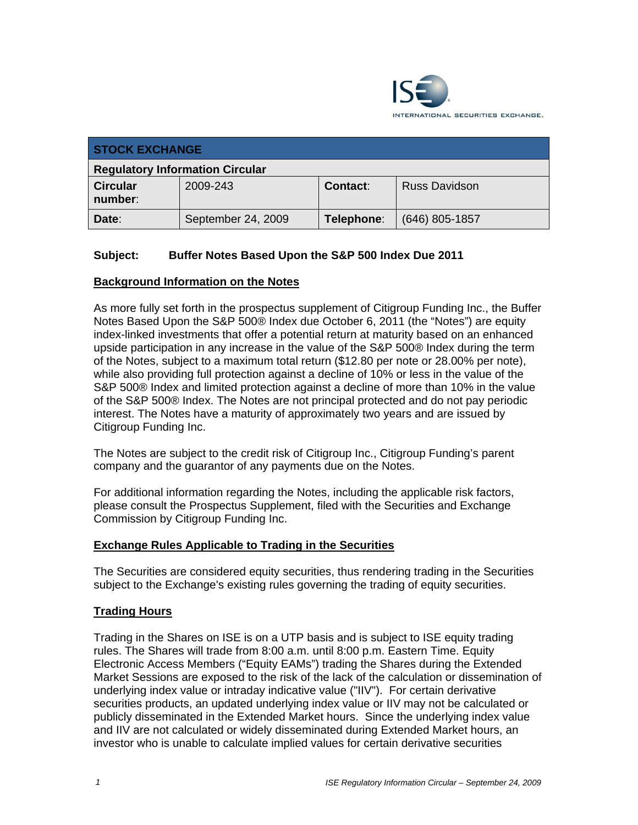

| <b>STOCK EXCHANGE</b>                  |                    |            |                      |  |  |
|----------------------------------------|--------------------|------------|----------------------|--|--|
| <b>Regulatory Information Circular</b> |                    |            |                      |  |  |
| <b>Circular</b><br>number:             | 2009-243           | Contact:   | <b>Russ Davidson</b> |  |  |
| Date:                                  | September 24, 2009 | Telephone: | (646) 805-1857       |  |  |

## **Subject: Buffer Notes Based Upon the S&P 500 Index Due 2011**

#### **Background Information on the Notes**

As more fully set forth in the prospectus supplement of Citigroup Funding Inc., the Buffer Notes Based Upon the S&P 500® Index due October 6, 2011 (the "Notes") are equity index-linked investments that offer a potential return at maturity based on an enhanced upside participation in any increase in the value of the S&P 500® Index during the term of the Notes, subject to a maximum total return (\$12.80 per note or 28.00% per note), while also providing full protection against a decline of 10% or less in the value of the S&P 500® Index and limited protection against a decline of more than 10% in the value of the S&P 500® Index. The Notes are not principal protected and do not pay periodic interest. The Notes have a maturity of approximately two years and are issued by Citigroup Funding Inc.

The Notes are subject to the credit risk of Citigroup Inc., Citigroup Funding's parent company and the guarantor of any payments due on the Notes.

For additional information regarding the Notes, including the applicable risk factors, please consult the Prospectus Supplement, filed with the Securities and Exchange Commission by Citigroup Funding Inc.

### **Exchange Rules Applicable to Trading in the Securities**

The Securities are considered equity securities, thus rendering trading in the Securities subject to the Exchange's existing rules governing the trading of equity securities.

#### **Trading Hours**

Trading in the Shares on ISE is on a UTP basis and is subject to ISE equity trading rules. The Shares will trade from 8:00 a.m. until 8:00 p.m. Eastern Time. Equity Electronic Access Members ("Equity EAMs") trading the Shares during the Extended Market Sessions are exposed to the risk of the lack of the calculation or dissemination of underlying index value or intraday indicative value ("IIV"). For certain derivative securities products, an updated underlying index value or IIV may not be calculated or publicly disseminated in the Extended Market hours. Since the underlying index value and IIV are not calculated or widely disseminated during Extended Market hours, an investor who is unable to calculate implied values for certain derivative securities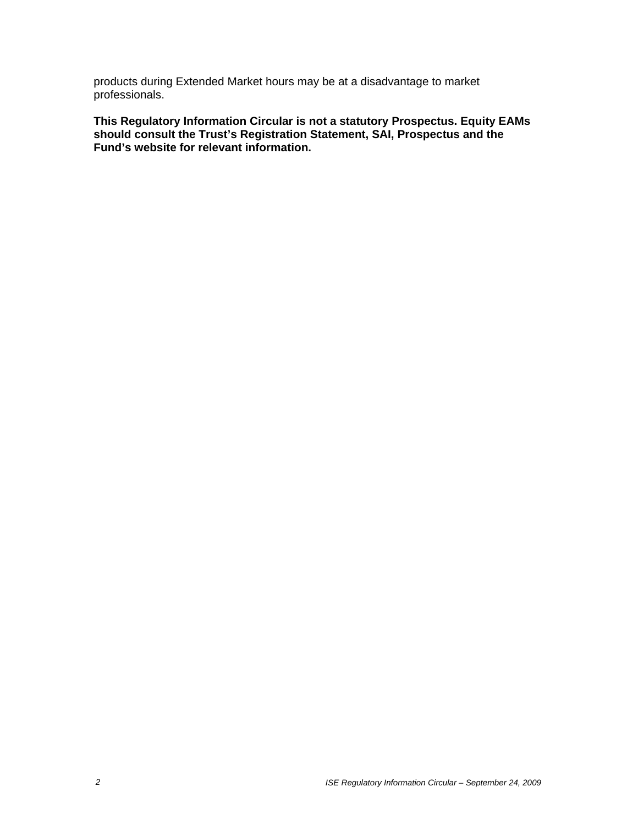products during Extended Market hours may be at a disadvantage to market professionals.

**This Regulatory Information Circular is not a statutory Prospectus. Equity EAMs should consult the Trust's Registration Statement, SAI, Prospectus and the Fund's website for relevant information.**